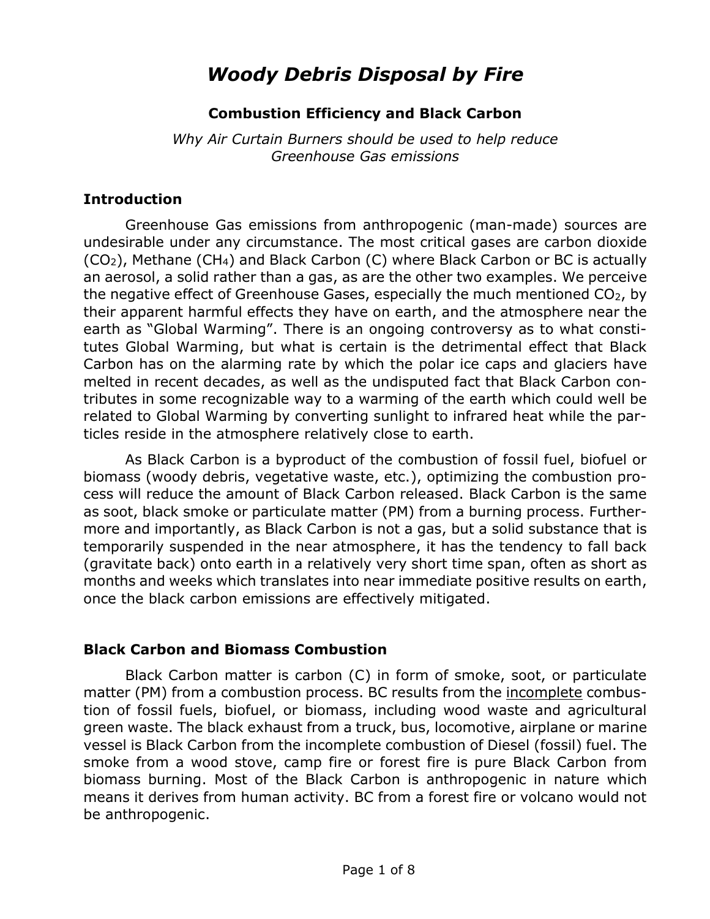# *Woody Debris Disposal by Fire*

### **Combustion Efficiency and Black Carbon**

*Why Air Curtain Burners should be used to help reduce Greenhouse Gas emissions*

#### **Introduction**

Greenhouse Gas emissions from anthropogenic (man-made) sources are undesirable under any circumstance. The most critical gases are carbon dioxide (CO2), Methane (CH4) and Black Carbon (C) where Black Carbon or BC is actually an aerosol, a solid rather than a gas, as are the other two examples. We perceive the negative effect of Greenhouse Gases, especially the much mentioned  $CO<sub>2</sub>$ , by their apparent harmful effects they have on earth, and the atmosphere near the earth as "Global Warming". There is an ongoing controversy as to what constitutes Global Warming, but what is certain is the detrimental effect that Black Carbon has on the alarming rate by which the polar ice caps and glaciers have melted in recent decades, as well as the undisputed fact that Black Carbon contributes in some recognizable way to a warming of the earth which could well be related to Global Warming by converting sunlight to infrared heat while the particles reside in the atmosphere relatively close to earth.

As Black Carbon is a byproduct of the combustion of fossil fuel, biofuel or biomass (woody debris, vegetative waste, etc.), optimizing the combustion process will reduce the amount of Black Carbon released. Black Carbon is the same as soot, black smoke or particulate matter (PM) from a burning process. Furthermore and importantly, as Black Carbon is not a gas, but a solid substance that is temporarily suspended in the near atmosphere, it has the tendency to fall back (gravitate back) onto earth in a relatively very short time span, often as short as months and weeks which translates into near immediate positive results on earth, once the black carbon emissions are effectively mitigated.

## **Black Carbon and Biomass Combustion**

Black Carbon matter is carbon (C) in form of smoke, soot, or particulate matter (PM) from a combustion process. BC results from the incomplete combustion of fossil fuels, biofuel, or biomass, including wood waste and agricultural green waste. The black exhaust from a truck, bus, locomotive, airplane or marine vessel is Black Carbon from the incomplete combustion of Diesel (fossil) fuel. The smoke from a wood stove, camp fire or forest fire is pure Black Carbon from biomass burning. Most of the Black Carbon is anthropogenic in nature which means it derives from human activity. BC from a forest fire or volcano would not be anthropogenic.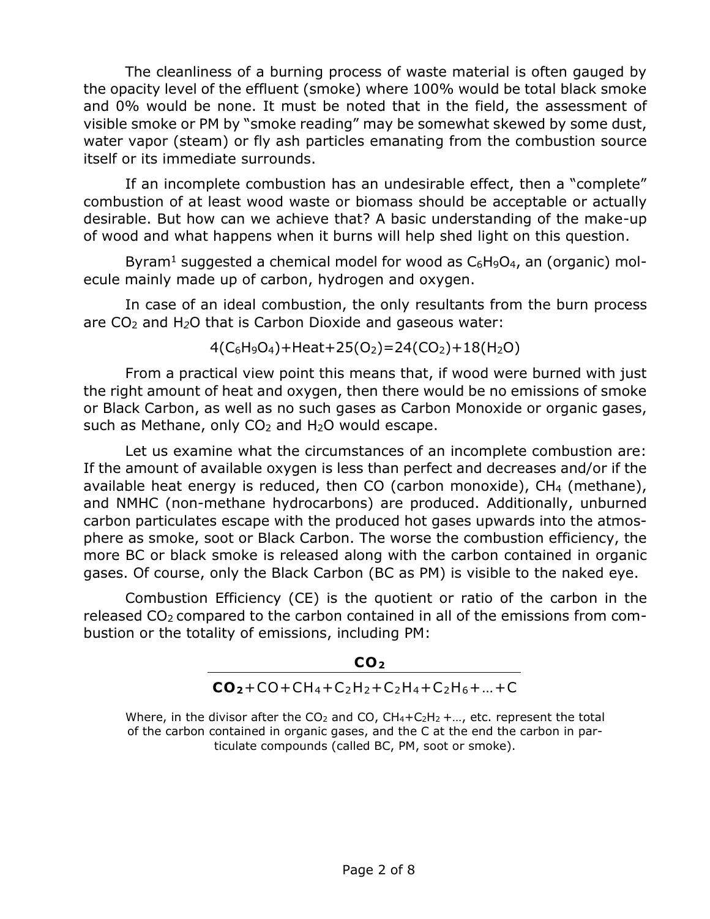The cleanliness of a burning process of waste material is often gauged by the opacity level of the effluent (smoke) where 100% would be total black smoke and 0% would be none. It must be noted that in the field, the assessment of visible smoke or PM by "smoke reading" may be somewhat skewed by some dust, water vapor (steam) or fly ash particles emanating from the combustion source itself or its immediate surrounds.

If an incomplete combustion has an undesirable effect, then a "complete" combustion of at least wood waste or biomass should be acceptable or actually desirable. But how can we achieve that? A basic understanding of the make-up of wood and what happens when it burns will help shed light on this question.

Byram<sup>1</sup> suggested a chemical model for wood as  $C_6H_9O_4$ , an (organic) molecule mainly made up of carbon, hydrogen and oxygen.

In case of an ideal combustion, the only resultants from the burn process are CO<sup>2</sup> and H*2*O that is Carbon Dioxide and gaseous water:

 $4(C_6H_9O_4)$ +Heat+25(O<sub>2</sub>)=24(CO<sub>2</sub>)+18(H<sub>2</sub>O)

From a practical view point this means that, if wood were burned with just the right amount of heat and oxygen, then there would be no emissions of smoke or Black Carbon, as well as no such gases as Carbon Monoxide or organic gases, such as Methane, only  $CO<sub>2</sub>$  and  $H<sub>2</sub>O$  would escape.

Let us examine what the circumstances of an incomplete combustion are: If the amount of available oxygen is less than perfect and decreases and/or if the available heat energy is reduced, then CO (carbon monoxide),  $CH<sub>4</sub>$  (methane), and NMHC (non-methane hydrocarbons) are produced. Additionally, unburned carbon particulates escape with the produced hot gases upwards into the atmosphere as smoke, soot or Black Carbon. The worse the combustion efficiency, the more BC or black smoke is released along with the carbon contained in organic gases. Of course, only the Black Carbon (BC as PM) is visible to the naked eye.

Combustion Efficiency (CE) is the quotient or ratio of the carbon in the released CO<sub>2</sub> compared to the carbon contained in all of the emissions from combustion or the totality of emissions, including PM:

| ×<br>٠<br>. .<br>۰. |  |
|---------------------|--|
|---------------------|--|

# $CO_2$ +CO+CH<sub>4</sub>+C<sub>2</sub>H<sub>2</sub>+C<sub>2</sub>H<sub>4</sub>+C<sub>2</sub>H<sub>6</sub>+…+C

Where, in the divisor after the  $CO<sub>2</sub>$  and  $CO$ ,  $CH<sub>4</sub>+C<sub>2</sub>H<sub>2</sub>+...,$  etc. represent the total of the carbon contained in organic gases, and the C at the end the carbon in particulate compounds (called BC, PM, soot or smoke).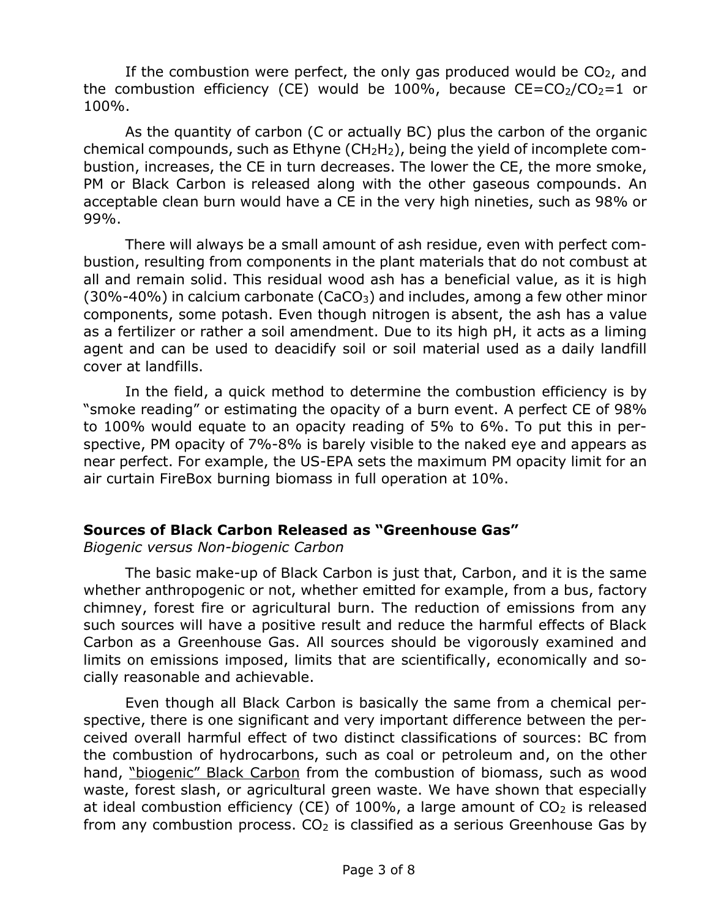If the combustion were perfect, the only gas produced would be  $CO<sub>2</sub>$ , and the combustion efficiency (CE) would be 100%, because  $CE=CO_2/CO_2=1$  or 100%.

As the quantity of carbon (C or actually BC) plus the carbon of the organic chemical compounds, such as Ethyne (CH2H2), being the yield of incomplete combustion, increases, the CE in turn decreases. The lower the CE, the more smoke, PM or Black Carbon is released along with the other gaseous compounds. An acceptable clean burn would have a CE in the very high nineties, such as 98% or 99%.

There will always be a small amount of ash residue, even with perfect combustion, resulting from components in the plant materials that do not combust at all and remain solid. This residual wood ash has a beneficial value, as it is high  $(30\% - 40\%)$  in calcium carbonate  $(CaCO<sub>3</sub>)$  and includes, among a few other minor components, some potash. Even though nitrogen is absent, the ash has a value as a fertilizer or rather a soil amendment. Due to its high pH, it acts as a liming agent and can be used to deacidify soil or soil material used as a daily landfill cover at landfills.

In the field, a quick method to determine the combustion efficiency is by "smoke reading" or estimating the opacity of a burn event. A perfect CE of 98% to 100% would equate to an opacity reading of 5% to 6%. To put this in perspective, PM opacity of 7%-8% is barely visible to the naked eye and appears as near perfect. For example, the US-EPA sets the maximum PM opacity limit for an air curtain FireBox burning biomass in full operation at 10%.

#### **Sources of Black Carbon Released as "Greenhouse Gas"**

*Biogenic versus Non-biogenic Carbon*

The basic make-up of Black Carbon is just that, Carbon, and it is the same whether anthropogenic or not, whether emitted for example, from a bus, factory chimney, forest fire or agricultural burn. The reduction of emissions from any such sources will have a positive result and reduce the harmful effects of Black Carbon as a Greenhouse Gas. All sources should be vigorously examined and limits on emissions imposed, limits that are scientifically, economically and socially reasonable and achievable.

Even though all Black Carbon is basically the same from a chemical perspective, there is one significant and very important difference between the perceived overall harmful effect of two distinct classifications of sources: BC from the combustion of hydrocarbons, such as coal or petroleum and, on the other hand, "biogenic" Black Carbon from the combustion of biomass, such as wood waste, forest slash, or agricultural green waste. We have shown that especially at ideal combustion efficiency (CE) of  $100\%$ , a large amount of  $CO<sub>2</sub>$  is released from any combustion process.  $CO<sub>2</sub>$  is classified as a serious Greenhouse Gas by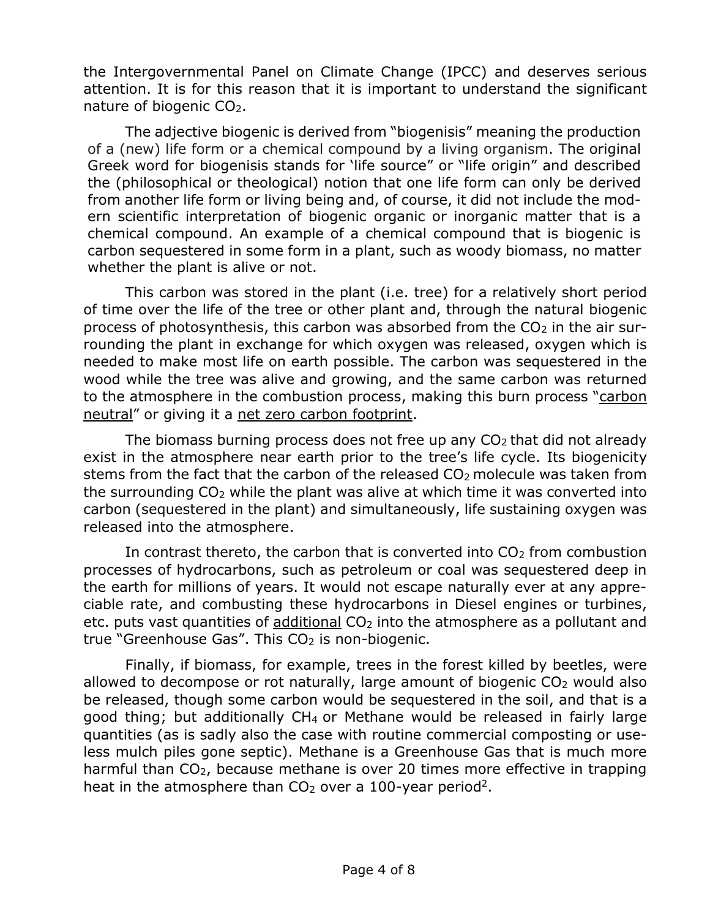the Intergovernmental Panel on Climate Change (IPCC) and deserves serious attention. It is for this reason that it is important to understand the significant nature of biogenic  $CO<sub>2</sub>$ .

The adjective biogenic is derived from "biogenisis" meaning the production of a (new) life form or a chemical compound by a living organism. The original Greek word for biogenisis stands for 'life source" or "life origin" and described the (philosophical or theological) notion that one life form can only be derived from another life form or living being and, of course, it did not include the modern scientific interpretation of biogenic organic or inorganic matter that is a chemical compound. An example of a chemical compound that is biogenic is carbon sequestered in some form in a plant, such as woody biomass, no matter whether the plant is alive or not.

This carbon was stored in the plant (i.e. tree) for a relatively short period of time over the life of the tree or other plant and, through the natural biogenic process of photosynthesis, this carbon was absorbed from the  $CO<sub>2</sub>$  in the air surrounding the plant in exchange for which oxygen was released, oxygen which is needed to make most life on earth possible. The carbon was sequestered in the wood while the tree was alive and growing, and the same carbon was returned to the atmosphere in the combustion process, making this burn process "carbon neutral" or giving it a net zero carbon footprint.

The biomass burning process does not free up any  $CO<sub>2</sub>$  that did not already exist in the atmosphere near earth prior to the tree's life cycle. Its biogenicity stems from the fact that the carbon of the released  $CO<sub>2</sub>$  molecule was taken from the surrounding  $CO<sub>2</sub>$  while the plant was alive at which time it was converted into carbon (sequestered in the plant) and simultaneously, life sustaining oxygen was released into the atmosphere.

In contrast thereto, the carbon that is converted into  $CO<sub>2</sub>$  from combustion processes of hydrocarbons, such as petroleum or coal was sequestered deep in the earth for millions of years. It would not escape naturally ever at any appreciable rate, and combusting these hydrocarbons in Diesel engines or turbines, etc. puts vast quantities of additional  $CO<sub>2</sub>$  into the atmosphere as a pollutant and true "Greenhouse Gas". This  $CO<sub>2</sub>$  is non-biogenic.

Finally, if biomass, for example, trees in the forest killed by beetles, were allowed to decompose or rot naturally, large amount of biogenic  $CO<sub>2</sub>$  would also be released, though some carbon would be sequestered in the soil, and that is a good thing; but additionally CH4 or Methane would be released in fairly large quantities (as is sadly also the case with routine commercial composting or useless mulch piles gone septic). Methane is a Greenhouse Gas that is much more harmful than CO<sub>2</sub>, because methane is over 20 times more effective in trapping heat in the atmosphere than  $CO<sub>2</sub>$  over a 100-year period<sup>2</sup>.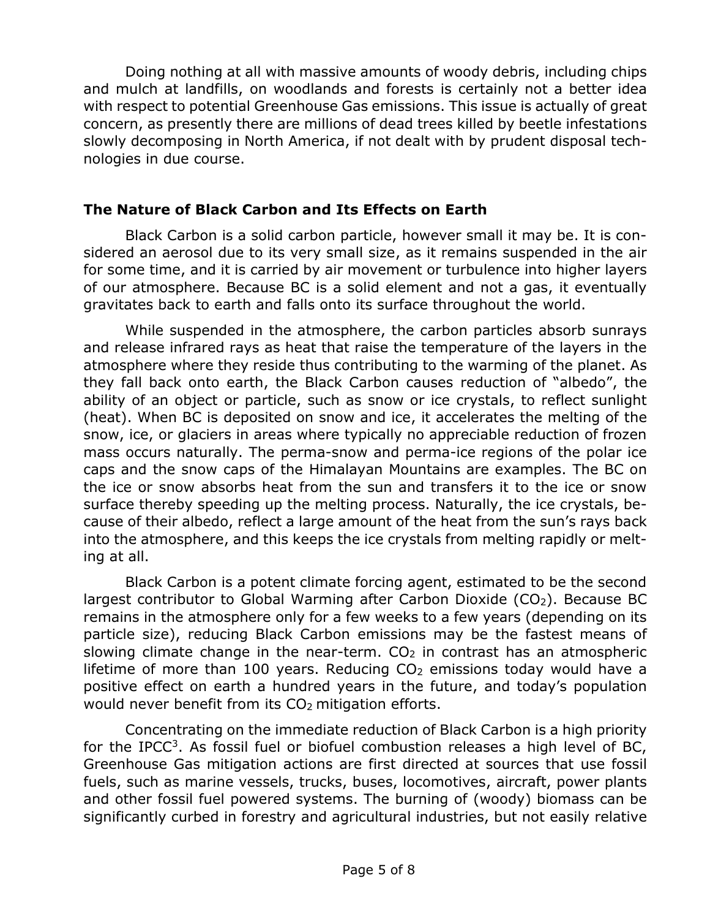Doing nothing at all with massive amounts of woody debris, including chips and mulch at landfills, on woodlands and forests is certainly not a better idea with respect to potential Greenhouse Gas emissions. This issue is actually of great concern, as presently there are millions of dead trees killed by beetle infestations slowly decomposing in North America, if not dealt with by prudent disposal technologies in due course.

#### **The Nature of Black Carbon and Its Effects on Earth**

Black Carbon is a solid carbon particle, however small it may be. It is considered an aerosol due to its very small size, as it remains suspended in the air for some time, and it is carried by air movement or turbulence into higher layers of our atmosphere. Because BC is a solid element and not a gas, it eventually gravitates back to earth and falls onto its surface throughout the world.

While suspended in the atmosphere, the carbon particles absorb sunrays and release infrared rays as heat that raise the temperature of the layers in the atmosphere where they reside thus contributing to the warming of the planet. As they fall back onto earth, the Black Carbon causes reduction of "albedo", the ability of an object or particle, such as snow or ice crystals, to reflect sunlight (heat). When BC is deposited on snow and ice, it accelerates the melting of the snow, ice, or glaciers in areas where typically no appreciable reduction of frozen mass occurs naturally. The perma-snow and perma-ice regions of the polar ice caps and the snow caps of the Himalayan Mountains are examples. The BC on the ice or snow absorbs heat from the sun and transfers it to the ice or snow surface thereby speeding up the melting process. Naturally, the ice crystals, because of their albedo, reflect a large amount of the heat from the sun's rays back into the atmosphere, and this keeps the ice crystals from melting rapidly or melting at all.

Black Carbon is a potent climate forcing agent, estimated to be the second largest contributor to Global Warming after Carbon Dioxide (CO<sub>2</sub>). Because BC remains in the atmosphere only for a few weeks to a few years (depending on its particle size), reducing Black Carbon emissions may be the fastest means of slowing climate change in the near-term.  $CO<sub>2</sub>$  in contrast has an atmospheric lifetime of more than 100 years. Reducing  $CO<sub>2</sub>$  emissions today would have a positive effect on earth a hundred years in the future, and today's population would never benefit from its CO<sub>2</sub> mitigation efforts.

Concentrating on the immediate reduction of Black Carbon is a high priority for the IPCC<sup>3</sup>. As fossil fuel or biofuel combustion releases a high level of BC, Greenhouse Gas mitigation actions are first directed at sources that use fossil fuels, such as marine vessels, trucks, buses, locomotives, aircraft, power plants and other fossil fuel powered systems. The burning of (woody) biomass can be significantly curbed in forestry and agricultural industries, but not easily relative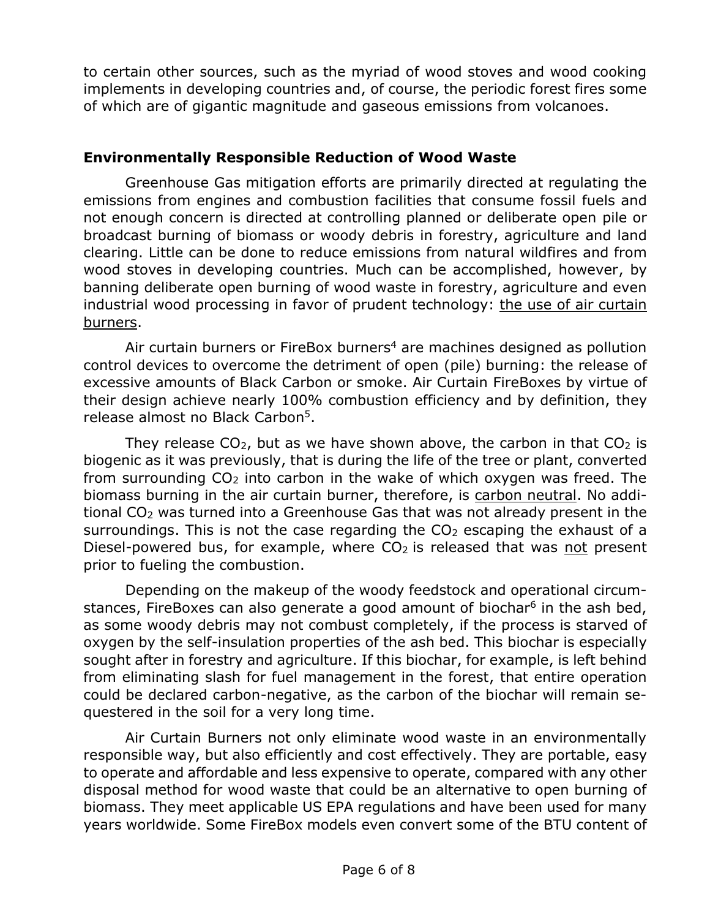to certain other sources, such as the myriad of wood stoves and wood cooking implements in developing countries and, of course, the periodic forest fires some of which are of gigantic magnitude and gaseous emissions from volcanoes.

# **Environmentally Responsible Reduction of Wood Waste**

Greenhouse Gas mitigation efforts are primarily directed at regulating the emissions from engines and combustion facilities that consume fossil fuels and not enough concern is directed at controlling planned or deliberate open pile or broadcast burning of biomass or woody debris in forestry, agriculture and land clearing. Little can be done to reduce emissions from natural wildfires and from wood stoves in developing countries. Much can be accomplished, however, by banning deliberate open burning of wood waste in forestry, agriculture and even industrial wood processing in favor of prudent technology: the use of air curtain burners.

Air curtain burners or FireBox burners<sup>4</sup> are machines designed as pollution control devices to overcome the detriment of open (pile) burning: the release of excessive amounts of Black Carbon or smoke. Air Curtain FireBoxes by virtue of their design achieve nearly 100% combustion efficiency and by definition, they release almost no Black Carbon<sup>5</sup>.

They release  $CO<sub>2</sub>$ , but as we have shown above, the carbon in that  $CO<sub>2</sub>$  is biogenic as it was previously, that is during the life of the tree or plant, converted from surrounding  $CO<sub>2</sub>$  into carbon in the wake of which oxygen was freed. The biomass burning in the air curtain burner, therefore, is carbon neutral. No additional CO<sup>2</sup> was turned into a Greenhouse Gas that was not already present in the surroundings. This is not the case regarding the  $CO<sub>2</sub>$  escaping the exhaust of a Diesel-powered bus, for example, where  $CO<sub>2</sub>$  is released that was not present prior to fueling the combustion.

Depending on the makeup of the woody feedstock and operational circumstances, FireBoxes can also generate a good amount of biochar<sup>6</sup> in the ash bed, as some woody debris may not combust completely, if the process is starved of oxygen by the self-insulation properties of the ash bed. This biochar is especially sought after in forestry and agriculture. If this biochar, for example, is left behind from eliminating slash for fuel management in the forest, that entire operation could be declared carbon-negative, as the carbon of the biochar will remain sequestered in the soil for a very long time.

Air Curtain Burners not only eliminate wood waste in an environmentally responsible way, but also efficiently and cost effectively. They are portable, easy to operate and affordable and less expensive to operate, compared with any other disposal method for wood waste that could be an alternative to open burning of biomass. They meet applicable US EPA regulations and have been used for many years worldwide. Some FireBox models even convert some of the BTU content of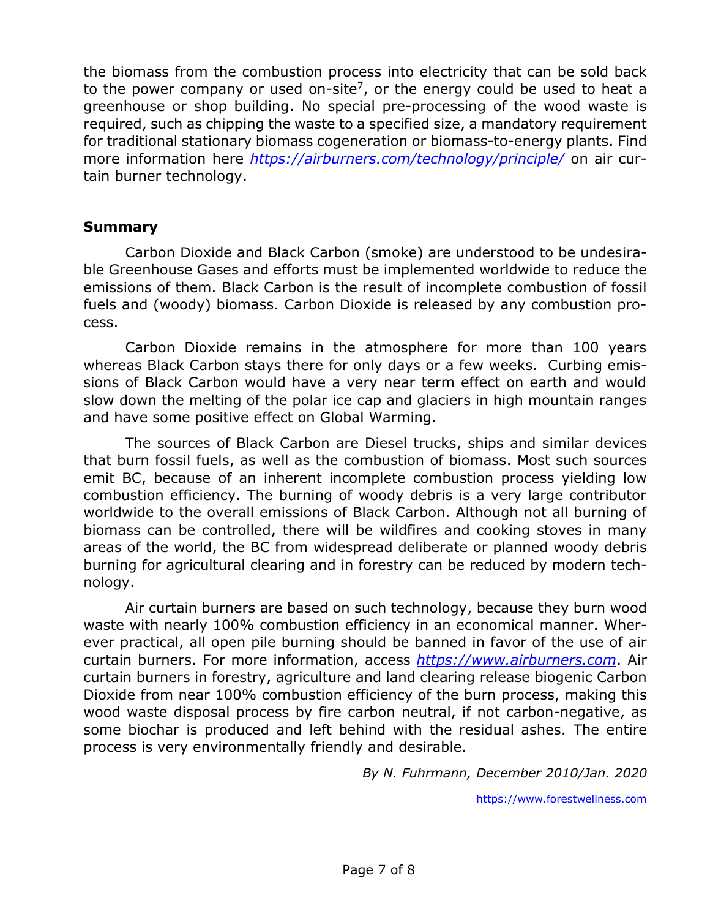the biomass from the combustion process into electricity that can be sold back to the power company or used on-site<sup>7</sup>, or the energy could be used to heat a greenhouse or shop building. No special pre-processing of the wood waste is required, such as chipping the waste to a specified size, a mandatory requirement for traditional stationary biomass cogeneration or biomass-to-energy plants. Find more information here *<https://airburners.com/technology/principle/>* on air curtain burner technology.

#### **Summary**

Carbon Dioxide and Black Carbon (smoke) are understood to be undesirable Greenhouse Gases and efforts must be implemented worldwide to reduce the emissions of them. Black Carbon is the result of incomplete combustion of fossil fuels and (woody) biomass. Carbon Dioxide is released by any combustion process.

Carbon Dioxide remains in the atmosphere for more than 100 years whereas Black Carbon stays there for only days or a few weeks. Curbing emissions of Black Carbon would have a very near term effect on earth and would slow down the melting of the polar ice cap and glaciers in high mountain ranges and have some positive effect on Global Warming.

The sources of Black Carbon are Diesel trucks, ships and similar devices that burn fossil fuels, as well as the combustion of biomass. Most such sources emit BC, because of an inherent incomplete combustion process yielding low combustion efficiency. The burning of woody debris is a very large contributor worldwide to the overall emissions of Black Carbon. Although not all burning of biomass can be controlled, there will be wildfires and cooking stoves in many areas of the world, the BC from widespread deliberate or planned woody debris burning for agricultural clearing and in forestry can be reduced by modern technology.

Air curtain burners are based on such technology, because they burn wood waste with nearly 100% combustion efficiency in an economical manner. Wherever practical, all open pile burning should be banned in favor of the use of air curtain burners. For more information, access *[https://www.airburners.com](https://www.airburners.com/)*. Air curtain burners in forestry, agriculture and land clearing release biogenic Carbon Dioxide from near 100% combustion efficiency of the burn process, making this wood waste disposal process by fire carbon neutral, if not carbon-negative, as some biochar is produced and left behind with the residual ashes. The entire process is very environmentally friendly and desirable.

*By N. Fuhrmann, December 2010/Jan. 2020*

[https://www.forestwellness.com](https://www.forestwellness.com/)